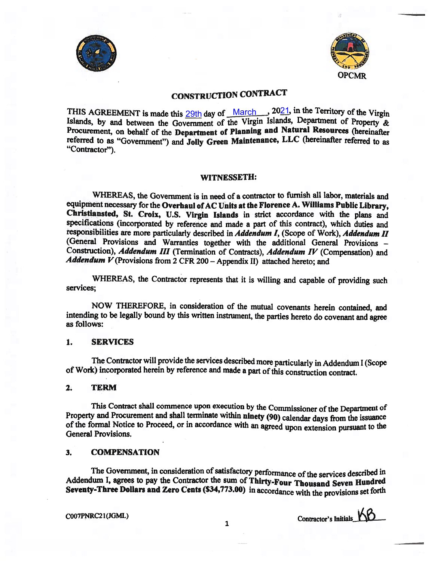



# CONSTRUCTION CONTRACT

THIS AGREEMENT is made this  $\frac{29th}{h}$  day of  $\frac{March}{h}$  2021, in the Territory of the Virgin Islands, by and between the Government of the Virgin Islands, Department of Property & Procurement, on behalf of the Department of <sup>p</sup>lanning and Natural Resources (hereinafter referred to as "Government") and Jolly Green Maintenance, LLC (hereinafter referred to as "Contractor").

#### WITNESSETH:

WHEREAS, the Government is in need of <sup>a</sup> contractor to furnish all labor, materials and equipment necessary for the Overhaul of AC Units at the Florence A. Williams Public Library, Christiansted, St. Croix, U.S. Virgin Islands in strict accordance with the <sup>p</sup>lans and specifications (incorporated by reference and made <sup>a</sup> part of this contract), which duties and responsibilities are more particularly described in Addendum I, (Scope of Work), Addendum II (General Provisions and Warranties together with the additional General Provisions — Construction), Addendum III (Termination of Contracts), Addendum IV (Compensation) and Addendum  $V$  (Provisions from 2 CFR 200 - Appendix II) attached hereto; and

WHEREAS, the Contractor represents that it is willing and capable of providing such services;

NOW THEREFORE, in consideration of the mutual covenants herein contained, and intending to be legally bound by this written instrument, the parties hereto do covenant and agree as follows:

#### 1. SERVICES

The Contractor will provide the services described more particularly in Addendum <sup>I</sup> (Scope of Work) incorporated herein by reference and made <sup>a</sup> part ofthis construction contract.

#### 2. TERM

This Contract shall commence upon execution by the Commissioner of the Department of Property and Procurement and shall terminate within ninety (90) calendar days from the issuance of the formal Notice to Proceed, or in accordance with an agreed upon extension pursuant to the General Provisions.

#### 3. COMPENSATION

The Government, in consideration of satisfactory performance of the services described in Addendum I, agrees to pay the Contractor the sum of Thirty-Four Thousand Seven Hundred Seventy-Three Dollars and Zero Cents (\$34,773.00) in accordance with the provisions set forth

COO7PNRC2 I (JGML)

Contractor's Initials. KB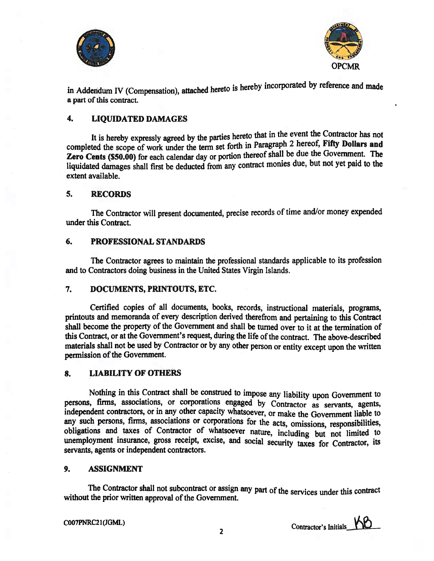



in Addendum IV (Compensation), attached hereto is hereby incorporated by reference and made a part of this contract.

#### 4. LIQUIDATED DAMAGES

It is hereby expressly agreed by the parties hereto that in the event the Contractor has not completed the scope of work under the term set forth in Paragraph 2 hereof, Fifty Dollars and Zero Cents (\$50.00) for each calendar day or portion thereof shall be due the Government. The liquidated damages shall first be deducted from any contract monies due, but not yet paid to the extent available.

#### 5. RECORDS

The Contractor will present documented, precise records of time and/or money expended under this Contract.

#### 6. PROFESSIONAL STANDARDS

The Contractor agrees to maintain the professional standards applicable to its profession and to Contractors doing business in the United States Virgin Islands.

#### 7. DOCUMENTS, PRINTOUTS, ETC.

Certified copies of all documents, books, records, instructional materials, programs, printouts and memoranda of every description derived therefrom and pertaining to this Contract shall become the property of the Government and shall be turned over to it at the termination of this Contract, or at the Government's request, during the life of the contract. The above-described materials shall not be used by Contractor or by any other person or entity except upon the written permission of the Government.

#### 8. LIABILITY OF OTHERS

Nothing in this Contract shall be construed to impose any liability upon Government to persons, firms, associations, or corporations engaged by Contractor as servants, agents, independent contractors, or in any other capacity whatsoever, or make the Government liable to any such persons, firms, associations or corporations for the acts, omissions, responsibilities, any such persons, such persons, associations and taxes of Contractor of whatsoever nature, including but not limited to unemployment insurance, gross receipt, excise, and social security taxes for Contractor, its servants, agents or independent contractors.

#### 9. ASSIGNMENT

The Contractor shall not subcontract or assign any part of the services under this contract without the prior written approval of the Government.

COO7PNRC21(JGML) 2 Contractor's Initials 10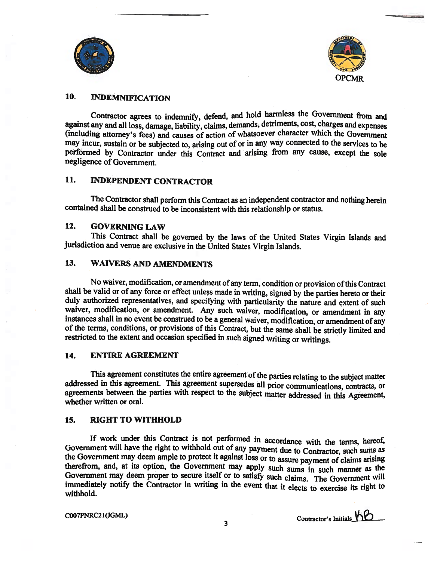



### 10. INDEMNIFICATION

Contractor agrees to indemnify, defend, and hold harmless the Government from and against any and all loss, damage, liability, claims, demands, detriments, cost, charges and expenses (including attorney's fees) and causes of action of whatsoever character which the Government may incur, sustain or be subjected to, arising out of or in any way connected to the services to be performed by Contractor under this Contract and arising from any cause, except the sole negligence of Government.

### 11. INDEPENDENT CONTRACTOR

The Contractor shall perform this Contract as an independent contractor and nothing herein contained shall be construed to be inconsistent with this relationship or status.

#### 12. GOVERNING LAW

This Contract shall be governed by the laws of the United States Virgin Islands and jurisdiction and venue are exclusive in the United States Virgin Islands.

#### 13. WAIVERS AND AMENDMENTS

No waiver, modification, or amendment of any term, condition or provision ofthis Contract shall be valid or of any force or effect unless made in writing, signed by the parties hereto or their duly authorized representatives, and specifying with particularity the nature and extent of such waiver, modification, or amendment. Any such waiver, modification, or amendment in any instances shall in no event be construed to be <sup>a</sup> general waiver, modification, or amendment of any of the terms, conditions, or provisions of this Contract, but the same shall be strictly limited and restricted to the extent and occasion specified in such signed writing or writings.

#### 14. ENTIRE AGREEMENT

This agreement constitutes the entire agreement of the parties relating to the subject matter addressed in this agreement. This agreement supersedes all prior communications, contracts, or agreements between the parties with respect to the subject matter addressed in this Agreement, whether written or oral.

#### 15. RIGHT TO WITHHOLD

If work under this Contract is not performed in accordance with the terms, hereof, Government will have the right to withhold out of any payment due to Contractor, such sums as the Government may deem ample to protect it against loss or to assure payment of claims arising therefrom, and, at its option, the Government may apply such sums in such manner as the Government may deem proper to secure itself or to satisfy such claims. The Government will immediately notify the Contractor in writing in the event that it elects to exercise its right to withhold.

COO7PNRC2 1 (JGML)

3 Contractor's Initials KO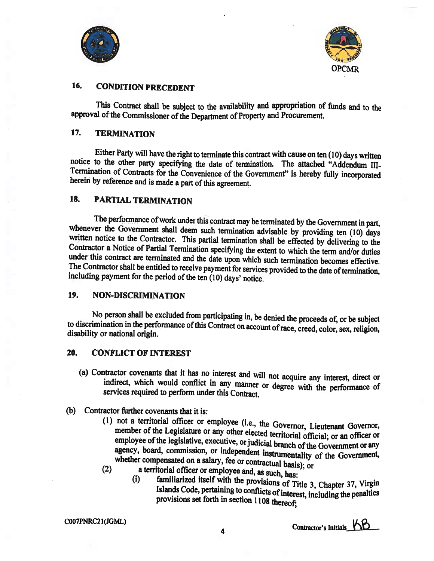



# 16. CONDITION PRECEDENT

This Contract shall be subject to the availability and appropriation of funds and to the approval of the Commissioner of the Department of Property and Procurement.

# 17. TERMINATION

Either Party will have the right to terminate this contract with cause on ten (10) days written notice to the other party specifying the date of termination, The attached "Addendum III-Termination of Contracts for the Convenience of the Government" is hereby hilly incorporated herein by reference and is made <sup>a</sup> part of this agreement.

# 18. PARTIAL TERMINATION

The performance of work under this contract may be terminated by the Government in part, whenever the Government shall deem such termination advisable by providing ten (10) days written notice to the Contractor. This partial termination shall be effected by delivering to the Contractor a Notice of Partial Termination specifying the extent to which the term and/or duties under this contract are terminated and the date upon which such termination becomes effective. The Contractor shall be entitled to receive payment for services provided to the date of termination, including payment for the period of the ten (10) days' notice.

#### 19. NON-DISCRIMINATION

No person shall be excluded from participating in, be denied the proceeds of, or be subject to discrimination in the performance of this Contract on account of race, creed, color, sex, religion, disability or national origin.

#### 20. CONFLICT OF INTEREST

- (a) Contractor covenants that it has no interest and will not acquire any interest, direct or indirect, which would conflict in any manner or degree with the performance of services required to perform under this Contract.
- (b) Contractor further covenants that it is:
	- (1) not <sup>a</sup> territorial officer or employee (i.e., the Governor, Lieutenant Governor, member of the Legislature or any other elected territorial official; or an officer or employee of the legislative, executive, or judicial branch of the Government or any agency, board, commission, or independent instrumentality of the Government,<br>whether compensated on a salary, fee or contractual basis); or<br>a territorial officer or employee and, as such, has:<br>(i) familiarized itself with
	- - Islands Code, pertaining to conflicts of interest, including the penalties provisions set forth in section 1108 thereof;

COO7PNRC2I(JGML)

4 Contractor's Initials KB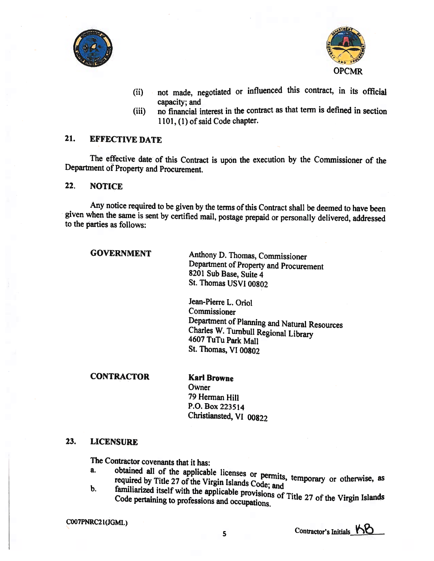



- (ii) not made, negotiated or influenced this contract, in its official capacity; and
- (iii) no financial interest in the contract as that term is defined in section 1101, (1) of said Code chapter.

# 21. EFFECTIVE DATE

The effective date of this Contract is upon the execution by the Commissioner of the Department of Property and Procurement.

#### 22. NOTICE

Any notice required to be given by the terms of this Contract shall be deemed to have been <sup>g</sup>iven when the same is sent by certified mail, postage prepaid or personally delivered, addressed to the parties as follows:

GOVERNMENT Anthony D. Thomas, Commissioner Department of Property and Procurement 8201 Sub Base, Suite 4 St. Thomas USVI 00802

> Jean-Pierre L. Oriol Commissioner Department of Planning and Natural Resources Charles W. Turnbull Regional Library <sup>4607</sup> TuTu Park Mall St. Thomas, VI 00802

#### CONTRACTOR Karl Browne

**Owner** 79 Herman Hill P.O. Box 223514 Christiansted, VI 00822

#### 23. LICENSURE

The Contractor covenants that it has:

- a. obtained all of the applicable licenses or permits, temporary or required by Title 27 of the Virgin Islands Code; and b. familiarized itself with the applicable provisions of Title 27 of the otherwise, as
- Code pertaining to professions and occupations of Title 27 of the Virgin Islands

COO7PNRC2 1(JGMI)

Contractor's Initials. KO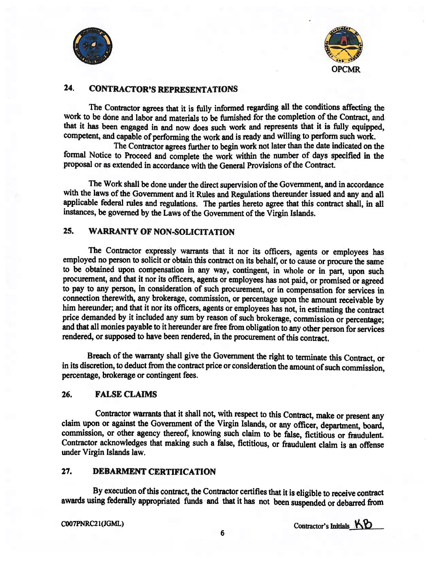

![](_page_5_Picture_1.jpeg)

# 24. CONTRACTOR'S REPRESENTATIONS

The Contractor agrees that it is fully informed regarding all the conditions affecting the work to be done and labor and materials to be furnished for the completion of the Contract, and that it has been engaged in and now does such work and represents that it is fully equipped, competent, and capable of performing the work and is ready and willing to perform such work.

The Contractor agrees further to begin work not later than the date indicated on the formal Notice to Proceed and complete the work within the number of days specified in the proposal or as extended in accordance with the General Provisions of the Contract.

The Work shall be done under the direct supervision of the Government, and in accordance with the laws of the Government and it Rules and Regulations thereunder issued and any and all applicable federal rules and regulations. The parties hereto agree that this contract shall, in all instances, be governed by the Laws of the Government of the Virgin Islands.

# 25. WARRANTY OF NON-SOLICITATION

The Contractor expressly warrants that it nor its officers, agents or employees has employed no person to solicit or obtain this contract on its behalf, or to cause or procure the same to be obtained upon compensation in any way, contingent, in whole or in part, upon such procurement, and that it nor its officers, agents or employees has not paid, or promised or agreed to pay to any person, in consideration of such procurement, or in compensation for services in connection therewith, any brokerage, commission, or percentage upon the amount receivable by him hereunder; and that it nor its officers, agents or employees has not, in estimating the contract price demanded by it included any sum by reason of such brokerage, commission or percentage; and that all monies payable to it hereunder are free from obligation to any other person for services rendered, or supposed to have been rendered, in the procurement of this contract.

Breach of the warranty shall <sup>g</sup>ive the Government the right to terminate this Contract, or in its discretion, to deduct from the contract price or consideration the amount of such commission, percentage, brokerage or contingent fees.

#### 26. FALSE CLAIMS

Contractor warrants that it shall not, with respect to this Contract, make or present any claim upon or against the Government of the Virgin Islands, or any officer, department, board, commission, or other agency thereof, knowing such claim to be false, fictitious or fraudulent. Contractor acknowledges that making such <sup>a</sup> false, fictitious, or fraudulent claim is an offense under Virgin Islands law.

#### 27. DEBARMENT CERTIFICATION

By execution of this contract, the Contractor certifies that it is eligible to receive contract awards using federally appropriated funds and that it has not been suspended or debarred from

COO7PNRC2 1(JGML)

Contractor's Initials  $KB$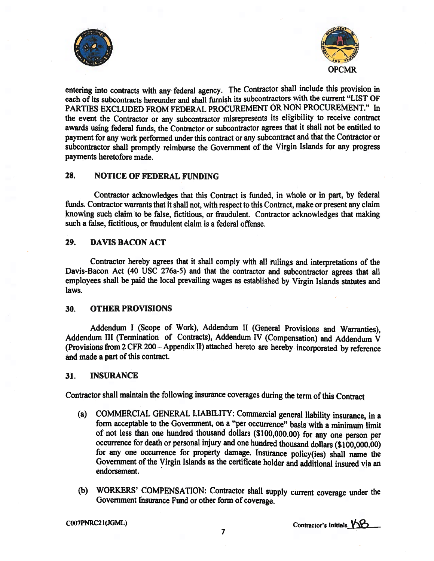![](_page_6_Picture_0.jpeg)

![](_page_6_Picture_1.jpeg)

entering into contracts with any federal agency. The Contractor shall include this provision in each of its subcontracts hereunder and shall furnish its subcontractors with the current "LIST OF PARTIES EXCLUDED FROM FEDERAL PROCUREMENT OR NON PROCUREMENT." In the event the Contractor or any subcontractor misrepresents its eligibility to receive contract awards using federal funds, the Contractor or subcontractor agrees that it shall not be entitled to payment for any work performed under this contract or any subcontract and that the Contractor or subcontractor shall promptly reimburse the Government of the Virgin Islands for any progress payments heretofore made.

#### 28. NOTICE OF FEDERAL FUNDING

Contractor acknowledges that this Contract is funded, in whole or in part, by federal funds. Contractor warrants that it shall not, with respect to this Contract, make or present any claim knowing such claim to be false, fictitious, or fraudulent. Contractor acknowledges that making such a false, fictitious, or fraudulent claim is a federal offense.

#### 29. DAVIS BACON ACT

Contractor hereby agrees that it shall comply with all rulings and interpretations of the Davis-Bacon Act (40 USC 276a-5) and that the contractor and subcontractor agrees that all employees shall be paid the local prevailing wages as established by Virgin Islands statutes and laws.

#### 30. OTHER PROVISIONS

Addendum <sup>I</sup> (Scope of Work), Addendum II (General Provisions and Warranties), Addendum III (Termination of Contracts), Addendum IV (Compensation) and Addendum <sup>V</sup> (Provisions from <sup>2</sup> CFR 200 — Appendix II) attached hereto are hereby incorporated by reference and made a part of this contract.

#### 31. INSURANCE

Contractor shall maintain the following insurance coverages during the term of this Contract

- (a) COMMERCIAL GENERAL LIABILITY: Commercial general liability insurance, in <sup>a</sup> form acceptable to the Government, on a "per occurrence" basis with a minimum limit of not less than one hundred thousand dollars (\$100,000.00) for any one person per occurrence for death or personal injury and one hundred thousand dollars (\$100,000.00) for any one occurrence for property damage. Insurance policy(ies) shall name the Government of the Virgin Islands as the certificate holder and additional insured via an endorsement.
- (b) WORKERS' COMPENSATION: Contractor shall supply current coverage under the Government Insurance Fund or other form of coverage.

Contractor's Initials KB